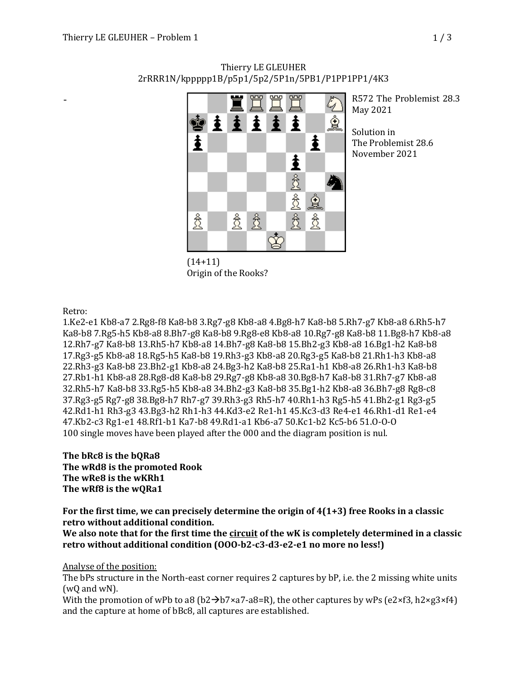

Thierry LE GLEUHER 2rRRR1N/kppppp1B/p5p1/5p2/5P1n/5PB1/P1PP1PP1/4K3

> R572 The Problemist 28.3 May 2021

Solution in The Problemist 28.6 November 2021

(14+11) Origin of the Rooks?

Retro:

-

1.Ke2-e1 Kb8-a7 2.Rg8-f8 Ka8-b8 3.Rg7-g8 Kb8-a8 4.Bg8-h7 Ka8-b8 5.Rh7-g7 Kb8-a8 6.Rh5-h7 Ka8-b8 7.Rg5-h5 Kb8-a8 8.Bh7-g8 Ka8-b8 9.Rg8-e8 Kb8-a8 10.Rg7-g8 Ka8-b8 11.Bg8-h7 Kb8-a8 12.Rh7-g7 Ka8-b8 13.Rh5-h7 Kb8-a8 14.Bh7-g8 Ka8-b8 15.Bh2-g3 Kb8-a8 16.Bg1-h2 Ka8-b8 17.Rg3-g5 Kb8-a8 18.Rg5-h5 Ka8-b8 19.Rh3-g3 Kb8-a8 20.Rg3-g5 Ka8-b8 21.Rh1-h3 Kb8-a8 22.Rh3-g3 Ka8-b8 23.Bh2-g1 Kb8-a8 24.Bg3-h2 Ka8-b8 25.Ra1-h1 Kb8-a8 26.Rh1-h3 Ka8-b8 27.Rb1-h1 Kb8-a8 28.Rg8-d8 Ka8-b8 29.Rg7-g8 Kb8-a8 30.Bg8-h7 Ka8-b8 31.Rh7-g7 Kb8-a8 32.Rh5-h7 Ka8-b8 33.Rg5-h5 Kb8-a8 34.Bh2-g3 Ka8-b8 35.Bg1-h2 Kb8-a8 36.Bh7-g8 Rg8-c8 37.Rg3-g5 Rg7-g8 38.Bg8-h7 Rh7-g7 39.Rh3-g3 Rh5-h7 40.Rh1-h3 Rg5-h5 41.Bh2-g1 Rg3-g5 42.Rd1-h1 Rh3-g3 43.Bg3-h2 Rh1-h3 44.Kd3-e2 Re1-h1 45.Kc3-d3 Re4-e1 46.Rh1-d1 Re1-e4 47.Kb2-c3 Rg1-e1 48.Rf1-b1 Ka7-b8 49.Rd1-a1 Kb6-a7 50.Kc1-b2 Kc5-b6 51.O-O-O 100 single moves have been played after the 000 and the diagram position is nul.

The **bRc8** is the **bQRa8 The wRd8** is the promoted Rook The wRe8 is the wKRh1 The wRf8 is the wQRa1

For the first time, we can precisely determine the origin of 4(1+3) free Rooks in a classic **retro without additional condition.** 

We also note that for the first time the **circuit** of the wK is completely determined in a classic retro without additional condition (OOO-b2-c3-d3-e2-e1 no more no less!)

Analyse of the position:

The bPs structure in the North-east corner requires 2 captures by bP, i.e. the 2 missing white units  $(wQ \text{ and } wN)$ .

With the promotion of wPb to a8 (b2 $\rightarrow$ b7×a7-a8=R), the other captures by wPs (e2×f3, h2×g3×f4) and the capture at home of bBc8, all captures are established.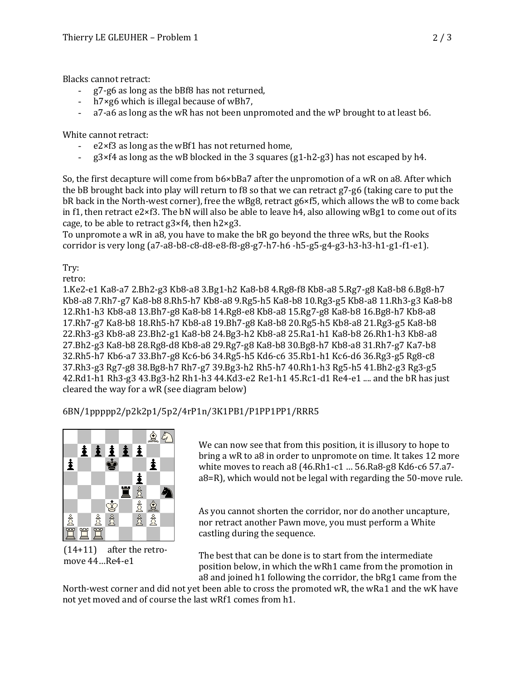Blacks cannot retract:

- g7-g6 as long as the bBf8 has not returned,
- $h7 \times g6$  which is illegal because of wBh7,
- $a$ 7-a6 as long as the wR has not been unpromoted and the wP brought to at least b6.

White cannot retract:

- $e2\times f3$  as long as the wBf1 has not returned home,
- $g3 \times f4$  as long as the wB blocked in the 3 squares  $(g1-h2-g3)$  has not escaped by h4.

So, the first decapture will come from b6×bBa7 after the unpromotion of a wR on a8. After which the bB brought back into play will return to f8 so that we can retract g7-g6 (taking care to put the bR back in the North-west corner), free the wBg8, retract g6×f5, which allows the wB to come back in f1, then retract e2×f3. The bN will also be able to leave h4, also allowing wBg1 to come out of its cage, to be able to retract  $g3\times f4$ , then  $h2\times g3$ .

To unpromote a wR in a8, you have to make the bR go beyond the three wRs, but the Rooks corridor is very long (a7-a8-b8-c8-d8-e8-f8-g8-g7-h7-h6 -h5-g5-g4-g3-h3-h3-h1-g1-f1-e1).

Try:

retro: 

1.Ke2-e1 Ka8-a7 2.Bh2-g3 Kb8-a8 3.Bg1-h2 Ka8-b8 4.Rg8-f8 Kb8-a8 5.Rg7-g8 Ka8-b8 6.Bg8-h7 Kb8-a8 7.Rh7-g7 Ka8-b8 8.Rh5-h7 Kb8-a8 9.Rg5-h5 Ka8-b8 10.Rg3-g5 Kb8-a8 11.Rh3-g3 Ka8-b8 12.Rh1-h3 Kb8-a8 13.Bh7-g8 Ka8-b8 14.Rg8-e8 Kb8-a8 15.Rg7-g8 Ka8-b8 16.Bg8-h7 Kb8-a8 17.Rh7-g7 Ka8-b8 18.Rh5-h7 Kb8-a8 19.Bh7-g8 Ka8-b8 20.Rg5-h5 Kb8-a8 21.Rg3-g5 Ka8-b8 22.Rh3-g3 Kb8-a8 23.Bh2-g1 Ka8-b8 24.Bg3-h2 Kb8-a8 25.Ra1-h1 Ka8-b8 26.Rh1-h3 Kb8-a8 27.Bh2-g3 Ka8-b8 28.Rg8-d8 Kb8-a8 29.Rg7-g8 Ka8-b8 30.Bg8-h7 Kb8-a8 31.Rh7-g7 Ka7-b8 32.Rh5-h7 Kb6-a7 33.Bh7-g8 Kc6-b6 34.Rg5-h5 Kd6-c6 35.Rb1-h1 Kc6-d6 36.Rg3-g5 Rg8-c8 37.Rh3-g3 Rg7-g8 38.Bg8-h7 Rh7-g7 39.Bg3-h2 Rh5-h7 40.Rh1-h3 Rg5-h5 41.Bh2-g3 Rg3-g5  $42.Rd1-h1 Rh3-g3 43.Bg3-h2 Rh1-h3 44.Kd3-e2 Re1-h1 45.Rc1-d1 Re4-e1 ....$  and the bR has just cleared the way for a wR (see diagram below)

6BN/1ppppp2/p2k2p1/5p2/4rP1n/3K1PB1/P1PP1PP1/RRR5



 $(14+11)$  after the retromove  $44...$ Re4-e1

We can now see that from this position, it is illusory to hope to bring a wR to a8 in order to unpromote on time. It takes 12 more white moves to reach a8  $(46.Rh1-c1$  ...  $56.Ra8-g8$  Kd6-c6  $57.a7$  $a8=R$ , which would not be legal with regarding the 50-move rule.

As you cannot shorten the corridor, nor do another uncapture, nor retract another Pawn move, you must perform a White castling during the sequence.

The best that can be done is to start from the intermediate position below, in which the wRh1 came from the promotion in a8 and joined h1 following the corridor, the bRg1 came from the

North-west corner and did not yet been able to cross the promoted wR, the wRa1 and the wK have not yet moved and of course the last wRf1 comes from h1.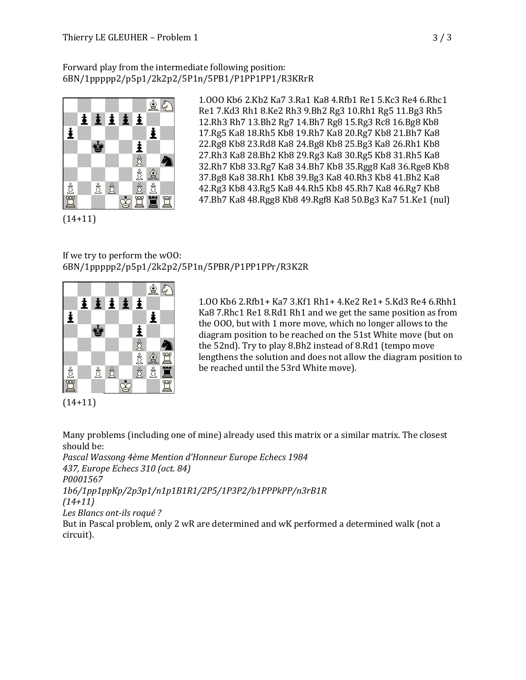## Forward play from the intermediate following position: 6BN/1ppppp2/p5p1/2k2p2/5P1n/5PB1/P1PP1PP1/R3KRrR



1.OOO Kb6 2.Kb2 Ka7 3.Ra1 Ka8 4.Rfb1 Re1 5.Kc3 Re4 6.Rhc1 Re1 7.Kd3 Rh1 8.Ke2 Rh3 9.Bh2 Rg3 10.Rh1 Rg5 11.Bg3 Rh5 12.Rh3 Rh7 13.Bh2 Rg7 14.Bh7 Rg8 15.Rg3 Rc8 16.Bg8 Kb8 17.Rg5 Ka8 18.Rh5 Kb8 19.Rh7 Ka8 20.Rg7 Kb8 21.Bh7 Ka8 22.Rg8 Kb8 23.Rd8 Ka8 24.Bg8 Kb8 25.Bg3 Ka8 26.Rh1 Kb8 27.Rh3 Ka8 28.Bh2 Kb8 29.Rg3 Ka8 30.Rg5 Kb8 31.Rh5 Ka8 32.Rh7 Kb8 33.Rg7 Ka8 34.Bh7 Kb8 35.Rgg8 Ka8 36.Rge8 Kb8 37.Bg8 Ka8 38.Rh1 Kb8 39.Bg3 Ka8 40.Rh3 Kb8 41.Bh2 Ka8 42.Rg3 Kb8 43.Rg5 Ka8 44.Rh5 Kb8 45.Rh7 Ka8 46.Rg7 Kb8 47.Bh7 Ka8 48.Rgg8 Kb8 49.Rgf8 Ka8 50.Bg3 Ka7 51.Ke1 (nul)

(14+11)

## If we try to perform the wOO: 6BN/1ppppp2/p5p1/2k2p2/5P1n/5PBR/P1PP1PPr/R3K2R



1.OO Kb6 2.Rfb1+ Ka7 3.Kf1 Rh1+ 4.Ke2 Re1+ 5.Kd3 Re4 6.Rhh1 Ka8 7.Rhc1 Re1 8.Rd1 Rh1 and we get the same position as from the OOO, but with 1 more move, which no longer allows to the diagram position to be reached on the 51st White move (but on the 52nd). Try to play 8.Bh2 instead of 8.Rd1 (tempo move lengthens the solution and does not allow the diagram position to be reached until the 53rd White move).

(14+11)

Many problems (including one of mine) already used this matrix or a similar matrix. The closest should be:

*Pascal Wassong 4ème Mention d'Honneur Europe Echecs 1984 437, Europe Echecs 310 (oct. 84) P0001567 1b6/1pp1ppKp/2p3p1/n1p1B1R1/2P5/1P3P2/b1PPPkPP/n3rB1R (14+11) Les Blancs ont-ils roqué ?*

But in Pascal problem, only 2 wR are determined and wK performed a determined walk (not a circuit).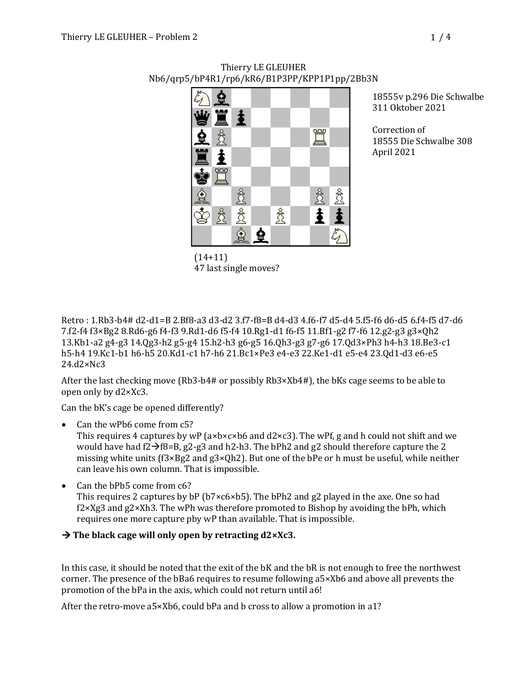

Thierry LE GLEUHER Nb6/qrp5/bP4R1/rp6/kR6/B1P3PP/KPP1P1pp/2Bb3N

18555v p.296 Die Schwalbe 311 Oktober 2021

Correction of 18555 Die Schwalbe 308 April 2021

Retro: 1.Rb3-b4# d2-d1=B 2.Bf8-a3 d3-d2 3.f7-f8=B d4-d3 4.f6-f7 d5-d4 5.f5-f6 d6-d5 6.f4-f5 d7-d6 7.f2-f4 f3×Bg2 8.Rd6-g6 f4-f3 9.Rd1-d6 f5-f4 10.Rg1-d1 f6-f5 11.Bf1-g2 f7-f6 12.g2-g3 g3×Qh2 13.Kb1-a2 g4-g3 14.Qg3-h2 g5-g4 15.h2-h3 g6-g5 16.Qh3-g3 g7-g6 17.Qd3×Ph3 h4-h3 18.Be3-c1 h5-h4 19.Kc1-b1 h6-h5 20.Kd1-c1 h7-h6 21.Bc1×Pe3 e4-e3 22.Ke1-d1 e5-e4 23.Qd1-d3 e6-e5 24.d2×Nc3

47 last single moves?

After the last checking move  $(Rb3-b4#$  or possibly  $Rb3\times Xb4#$ ), the bKs cage seems to be able to open only by d2×Xc3.

Can the bK's cage be opened differently?

Can the wPb6 come from c5?

This requires 4 captures by wP ( $a \times b \times c \times b6$  and  $d2 \times c3$ ). The wPf, g and h could not shift and we would have had  $f2\rightarrow f8=B$ , g2-g3 and h2-h3. The bPh2 and g2 should therefore capture the 2 missing white units  $(f3 \times Bg2 \text{ and } g3 \times Qh2)$ . But one of the bPe or h must be useful, while neither can leave his own column. That is impossible.

• Can the bPb5 come from c6?

This requires 2 captures by bP ( $b7 \times c6 \times b5$ ). The bPh2 and g2 played in the axe. One so had  $f2 \times Xg3$  and  $g2 \times Xh3$ . The wPh was therefore promoted to Bishop by avoiding the bPh, which requires one more capture pby wP than available. That is impossible.

## $\rightarrow$  The black cage will only open by retracting  $d2 \times Xc3$ .

In this case, it should be noted that the exit of the  $\overline{b}K$  and the  $\overline{b}R$  is not enough to free the northwest corner. The presence of the bBa6 requires to resume following a5×Xb6 and above all prevents the promotion of the bPa in the axis, which could not return until a6!

After the retro-move  $a5 \times Xb6$ , could bPa and b cross to allow a promotion in a1?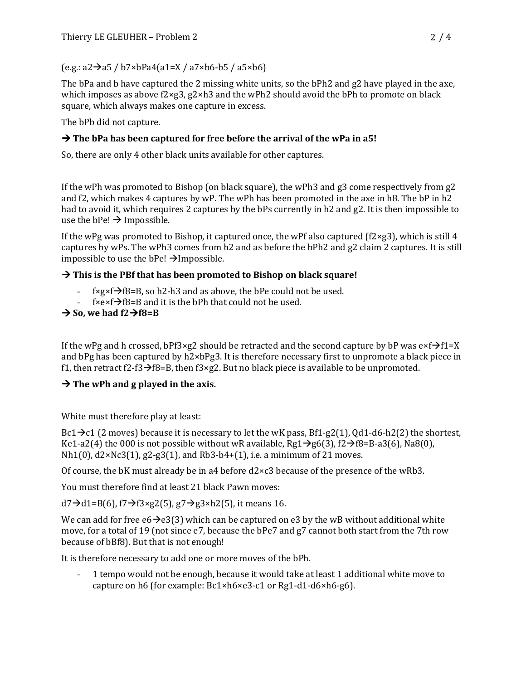$(e.g.: a2\rightarrow a5 / b7 \times bPa4(a1=X / a7 \times b6-b5 / a5 \times b6)$ 

The bPa and b have captured the 2 missing white units, so the  $bPh2$  and g2 have played in the axe, which imposes as above  $f2\times g3$ ,  $g2\times h3$  and the wPh2 should avoid the bPh to promote on black square, which always makes one capture in excess.

The bPb did not capture.

## $\rightarrow$  The bPa has been captured for free before the arrival of the wPa in a5!

So, there are only 4 other black units available for other captures.

If the wPh was promoted to Bishop (on black square), the wPh3 and  $g3$  come respectively from  $g2$ and f2, which makes 4 captures by wP. The wPh has been promoted in the axe in h8. The bP in h2 had to avoid it, which requires 2 captures by the bPs currently in h2 and g2. It is then impossible to use the bPe!  $\rightarrow$  Impossible.

If the wPg was promoted to Bishop, it captured once, the wPf also captured (f2×g3), which is still 4 captures by wPs. The wPh3 comes from h2 and as before the  $bPh2$  and  $g2$  claim 2 captures. It is still impossible to use the  $bPe! \rightarrow I$ mpossible.

## $\rightarrow$  This is the PBf that has been promoted to Bishop on black square!

- $f \times g \times f \rightarrow f8 = B$ , so h2-h3 and as above, the bPe could not be used.
- $f \times e \times f \rightarrow f8 = B$  and it is the bPh that could not be used.

## $\rightarrow$  So, we had  $f2 \rightarrow f8 = B$

If the wPg and h crossed, bPf3×g2 should be retracted and the second capture by bP was  $e \times f \rightarrow f1=X$ and bPg has been captured by  $h2\times bPg3$ . It is therefore necessary first to unpromote a black piece in f1, then retract f2-f3 $\rightarrow$ f8=B, then f3×g2. But no black piece is available to be unpromoted.

## $\rightarrow$  The wPh and g played in the axis.

White must therefore play at least:

 $Bc1\rightarrow c1$  (2 moves) because it is necessary to let the wK pass,  $Bf1-g2(1)$ , Qd1-d6-h2(2) the shortest, Ke1-a2(4) the 000 is not possible without wR available, Rg1 $\rightarrow$ g6(3), f2 $\rightarrow$ f8=B-a3(6), Na8(0),  $Nh1(0)$ ,  $d2\times Nc3(1)$ ,  $g2-g3(1)$ , and  $Rb3-b4+(1)$ , i.e. a minimum of 21 moves.

Of course, the bK must already be in a4 before  $d2 \times c3$  because of the presence of the wRb3.

You must therefore find at least 21 black Pawn moves:

 $d7\rightarrow d1=$ B(6), f7 $\rightarrow$ f3×g2(5), g7 $\rightarrow$ g3×h2(5), it means 16.

We can add for free  $e6\rightarrow e3(3)$  which can be captured on e3 by the wB without additional white move, for a total of 19 (not since  $e7$ , because the bPe7 and  $g7$  cannot both start from the 7th row because of bBf8). But that is not enough!

It is therefore necessary to add one or more moves of the bPh.

1 tempo would not be enough, because it would take at least 1 additional white move to capture on h6 (for example: Bc1×h6×e3-c1 or Rg1-d1-d6×h6-g6).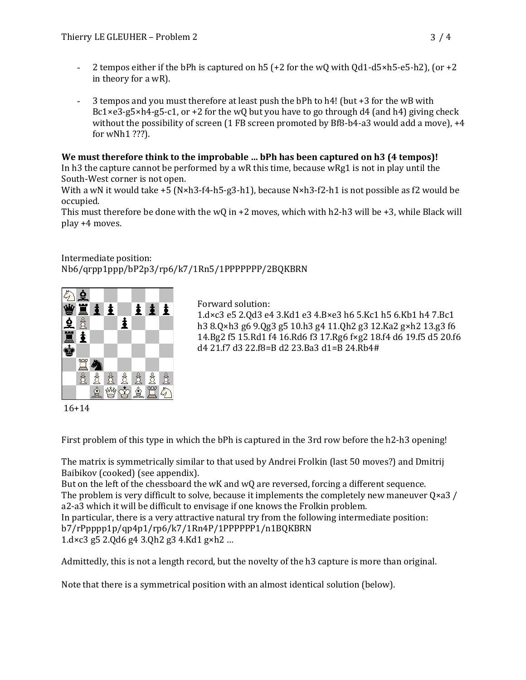- 2 tempos either if the bPh is captured on h5  $(+2$  for the wQ with Qd1-d5×h5-e5-h2), (or  $+2$ in theory for a wR).
- 3 tempos and you must therefore at least push the bPh to h4! (but  $+3$  for the wB with Bc1 $\times$ e3-g5 $\times$ h4-g5-c1, or +2 for the wQ but you have to go through d4 (and h4) giving check without the possibility of screen  $(1$  FB screen promoted by Bf8-b4-a3 would add a move),  $+4$ for wNh1 ???).

## We must therefore think to the improbable ... bPh has been captured on h3 (4 tempos)!

In h3 the capture cannot be performed by a wR this time, because wRg1 is not in play until the South-West corner is not open.

With a wN it would take  $+5$  (N×h3-f4-h5-g3-h1), because N×h3-f2-h1 is not possible as f2 would be occupied.

This must therefore be done with the wQ in +2 moves, which with h2-h3 will be +3, while Black will play +4 moves.

## Intermediate position: Nb6/qrpp1ppp/bP2p3/rp6/k7/1Rn5/1PPPPPPP/2BQKBRN



Forward solution:

1.d×c3 e5 2.Qd3 e4 3.Kd1 e3 4.B×e3 h6 5.Kc1 h5 6.Kb1 h4 7.Bc1 h3 8.Q×h3 g6 9.Qg3 g5 10.h3 g4 11.Qh2 g3 12.Ka2 g×h2 13.g3 f6 14.Bg2 f5 15.Rd1 f4 16.Rd6 f3 17.Rg6 f×g2 18.f4 d6 19.f5 d5 20.f6 d4 21.f7 d3 22.f8=B d2 23.Ba3 d1=B 24.Rb4#

16+14

First problem of this type in which the  $bPh$  is captured in the 3rd row before the  $h2-h3$  opening!

The matrix is symmetrically similar to that used by Andrei Frolkin (last 50 moves?) and Dmitrij Baibikov (cooked) (see appendix).

But on the left of the chessboard the wK and wQ are reversed, forcing a different sequence. The problem is very difficult to solve, because it implements the completely new maneuver  $Q \times a3$  / a2-a3 which it will be difficult to envisage if one knows the Frolkin problem. In particular, there is a very attractive natural try from the following intermediate position: b7/rPpppp1p/qp4p1/rp6/k7/1Rn4P/1PPPPPP1/n1BQKBRN  $1.$ d×c3 g5 2.Qd6 g4 3.Qh2 g3 4.Kd1 g×h2 ...

Admittedly, this is not a length record, but the novelty of the h3 capture is more than original.

Note that there is a symmetrical position with an almost identical solution (below).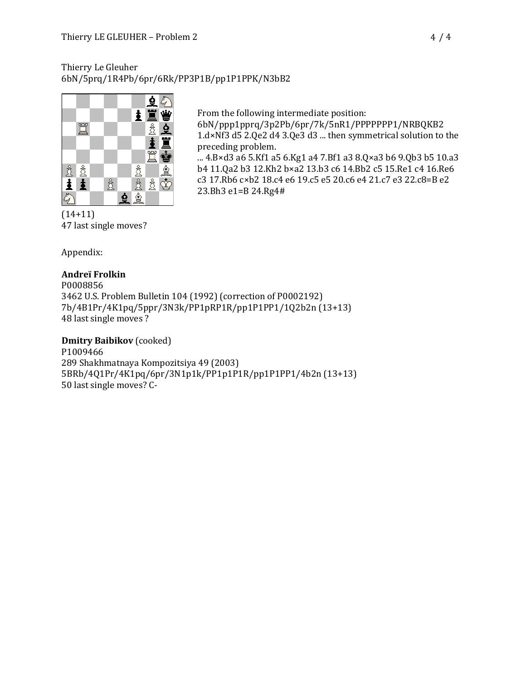## Thierry Le Gleuher 6bN/5prq/1R4Pb/6pr/6Rk/PP3P1B/pp1P1PPK/N3bB2



From the following intermediate position:

6bN/ppp1pprq/3p2Pb/6pr/7k/5nR1/PPPPPPP1/NRBQKB2 1.d×Nf3 d5 2.Qe2 d4 3.Qe3 d3 ... then symmetrical solution to the preceding problem.

... 4.B×d3 a6 5.Kf1 a5 6.Kg1 a4 7.Bf1 a3 8.Q×a3 b6 9.Qb3 b5 10.a3 b4 11.Qa2 b3 12.Kh2 b×a2 13.b3 c6 14.Bb2 c5 15.Re1 c4 16.Re6 c3 17.Rb6 c×b2 18.c4 e6 19.c5 e5 20.c6 e4 21.c7 e3 22.c8=B e2 23.Bh3 e1=B 24.Rg4#

47 last single moves?

Appendix:

## **Andreï Frolkin**

P0008856 3462 U.S. Problem Bulletin 104 (1992) (correction of P0002192) 7b/4B1Pr/4K1pq/5ppr/3N3k/PP1pRP1R/pp1P1PP1/1Q2b2n (13+13) 48 last single moves?

## **Dmitry Baibikov** (cooked)

P1009466 289 Shakhmatnaya Kompozitsiya 49 (2003) 5BRb/4Q1Pr/4K1pq/6pr/3N1p1k/PP1p1P1R/pp1P1PP1/4b2n (13+13) 50 last single moves? C-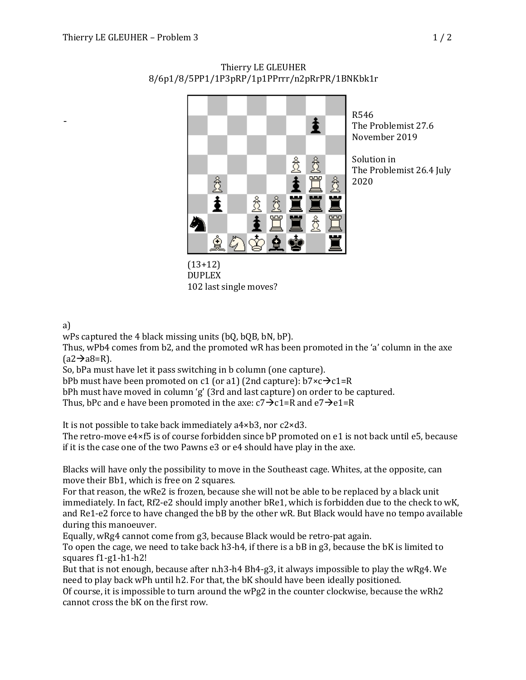

Thierry LE GLEUHER 8/6p1/8/5PP1/1P3pRP/1p1PPrrr/n2pRrPR/1BNKbk1r

> R546 The Problemist 27.6 November 2019

Solution in The Problemist 26.4 July 2020

#### (13+12) DUPLEX 102 last single moves?

## a)

-

wPs captured the 4 black missing units  $(bQ, bQB, bN, bP)$ .

Thus, wPb4 comes from b2, and the promoted wR has been promoted in the 'a' column in the axe  $(a2\rightarrow a8=R)$ .

So, bPa must have let it pass switching in b column (one capture).

bPb must have been promoted on c1 (or a1) (2nd capture):  $b7 \times c \rightarrow c1 = R$ 

bPh must have moved in column 'g' (3rd and last capture) on order to be captured.

Thus, bPc and e have been promoted in the axe:  $c7\rightarrow c1=R$  and  $e7\rightarrow e1=R$ 

It is not possible to take back immediately  $a4 \times b3$ , nor  $c2 \times d3$ .

The retro-move  $e4\times f5$  is of course forbidden since bP promoted on e1 is not back until e5, because if it is the case one of the two Pawns e3 or e4 should have play in the axe.

Blacks will have only the possibility to move in the Southeast cage. Whites, at the opposite, can move their Bb1, which is free on 2 squares.

For that reason, the wRe2 is frozen, because she will not be able to be replaced by a black unit immediately. In fact, Rf2-e2 should imply another bRe1, which is forbidden due to the check to wK, and Re1-e2 force to have changed the bB by the other wR. But Black would have no tempo available during this manoeuver.

Equally, wRg4 cannot come from g3, because Black would be retro-pat again.

To open the cage, we need to take back  $h3-h4$ , if there is a bB in g3, because the bK is limited to squares f1-g1-h1-h2!

But that is not enough, because after n.h3-h4 Bh4-g3, it always impossible to play the wRg4. We need to play back wPh until h2. For that, the bK should have been ideally positioned.

Of course, it is impossible to turn around the  $wPg2$  in the counter clockwise, because the  $wRh2$ cannot cross the bK on the first row.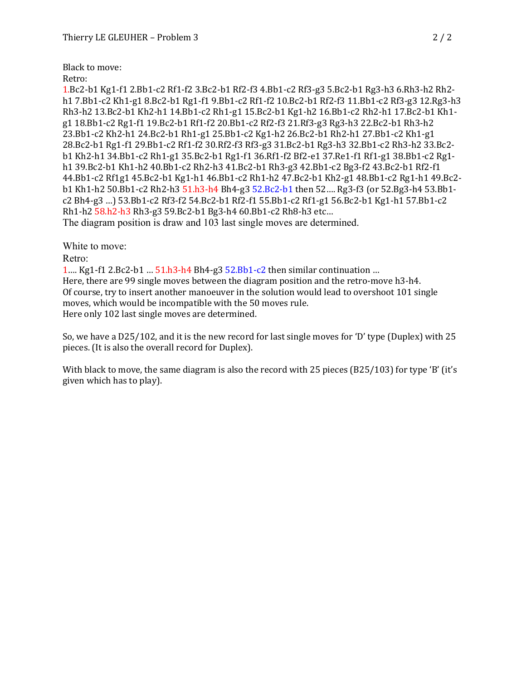Black to move:

Retro:

1.Bc2-b1 Kg1-f1 2.Bb1-c2 Rf1-f2 3.Bc2-b1 Rf2-f3 4.Bb1-c2 Rf3-g3 5.Bc2-b1 Rg3-h3 6.Rh3-h2 Rh2 h1 7.Bb1-c2 Kh1-g1 8.Bc2-b1 Rg1-f1 9.Bb1-c2 Rf1-f2 10.Bc2-b1 Rf2-f3 11.Bb1-c2 Rf3-g3 12.Rg3-h3 Rh3-h2 13.Bc2-b1 Kh2-h1 14.Bb1-c2 Rh1-g1 15.Bc2-b1 Kg1-h2 16.Bb1-c2 Rh2-h1 17.Bc2-b1 Kh1g1 18.Bb1-c2 Rg1-f1 19.Bc2-b1 Rf1-f2 20.Bb1-c2 Rf2-f3 21.Rf3-g3 Rg3-h3 22.Bc2-b1 Rh3-h2 23.Bb1-c2 Kh2-h1 24.Bc2-b1 Rh1-g1 25.Bb1-c2 Kg1-h2 26.Bc2-b1 Rh2-h1 27.Bb1-c2 Kh1-g1 28.Bc2-b1 Rg1-f1 29.Bb1-c2 Rf1-f2 30.Rf2-f3 Rf3-g3 31.Bc2-b1 Rg3-h3 32.Bb1-c2 Rh3-h2 33.Bc2 b1 Kh2-h1 34.Bb1-c2 Rh1-g1 35.Bc2-b1 Rg1-f1 36.Rf1-f2 Bf2-e1 37.Re1-f1 Rf1-g1 38.Bb1-c2 Rg1 h1 39.Bc2-b1 Kh1-h2 40.Bb1-c2 Rh2-h3 41.Bc2-b1 Rh3-g3 42.Bb1-c2 Bg3-f2 43.Bc2-b1 Rf2-f1 44.Bb1-c2 Rf1g1 45.Bc2-b1 Kg1-h1 46.Bb1-c2 Rh1-h2 47.Bc2-b1 Kh2-g1 48.Bb1-c2 Rg1-h1 49.Bc2 b1 Kh1-h2 50.Bb1-c2 Rh2-h3 51.h3-h4 Bh4-g3 52.Bc2-b1 then 52.... Rg3-f3 (or 52.Bg3-h4 53.Bb1c2 Bh4-g3 …) 53.Bb1-c2 Rf3-f2 54.Bc2-b1 Rf2-f1 55.Bb1-c2 Rf1-g1 56.Bc2-b1 Kg1-h1 57.Bb1-c2 Rh1-h2 58.h2-h3 Rh3-g3 59.Bc2-b1 Bg3-h4 60.Bb1-c2 Rh8-h3 etc... The diagram position is draw and 103 last single moves are determined.

White to move: Retro:

1... Kg1-f1 2.Bc2-b1 ...  $51.h3-h4 Bh4-g3 52.Bb1-c2$  then similar continuation ... Here, there are 99 single moves between the diagram position and the retro-move  $h3-h4$ . Of course, try to insert another manoeuver in the solution would lead to overshoot 101 single moves, which would be incompatible with the 50 moves rule. Here only 102 last single moves are determined.

So, we have a D25/102, and it is the new record for last single moves for 'D' type (Duplex) with 25 pieces. (It is also the overall record for Duplex).

With black to move, the same diagram is also the record with  $25$  pieces ( $B25/103$ ) for type 'B' (it's given which has to play).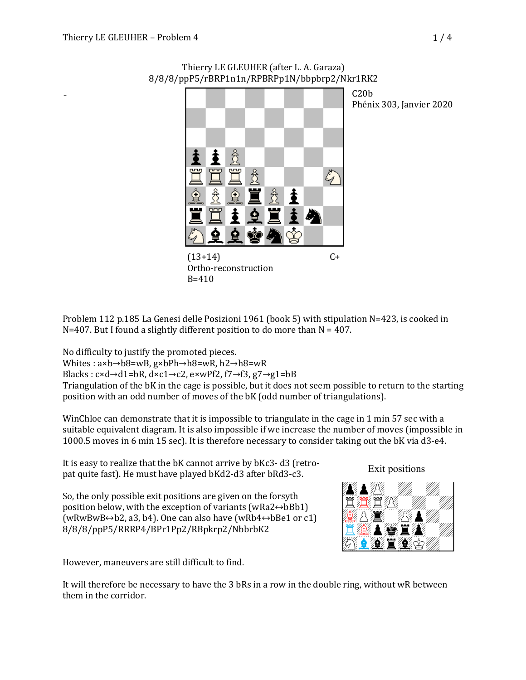-



Thierry LE GLEUHER (after L. A. Garaza) 8/8/8/ppP5/rBRP1n1n/RPBRPp1N/bbpbrp2/Nkr1RK2

> $C20<sub>b</sub>$ Phénix 303, Janvier 2020

Problem 112 p.185 La Genesi delle Posizioni 1961 (book 5) with stipulation  $N=423$ , is cooked in N=407. But I found a slightly different position to do more than  $N = 407$ .

No difficulty to justify the promoted pieces.

Whites : a×b→b8=wB, g×bPh→h8=wR, h2→h8=wR

Blacks :  $c \times d \rightarrow d1 = bR$ ,  $d \times c1 \rightarrow c2$ ,  $e \times wPf2$ ,  $f7 \rightarrow f3$ ,  $g7 \rightarrow g1 = bB$ 

 $B = 410$ 

Triangulation of the bK in the cage is possible, but it does not seem possible to return to the starting position with an odd number of moves of the bK (odd number of triangulations).

WinChloe can demonstrate that it is impossible to triangulate in the cage in 1 min 57 sec with a suitable equivalent diagram. It is also impossible if we increase the number of moves (impossible in 1000.5 moves in 6 min 15 sec). It is therefore necessary to consider taking out the bK via d3-e4.

It is easy to realize that the bK cannot arrive by bKc3- d3 (retropat quite fast). He must have played bKd2-d3 after bRd3-c3.

So, the only possible exit positions are given on the forsyth position below, with the exception of variants (wRa2 $\leftrightarrow$ bBb1)  $(wRwBwB ↔b2, a3, b4)$ . One can also have  $(wRb4 ↔bBe1$  or c1) 8/8/8/ppP5/RRRP4/BPr1Pp2/RBpkrp2/NbbrbK2

However, maneuvers are still difficult to find.

It will therefore be necessary to have the 3 bRs in a row in the double ring, without wR between them in the corridor.

Exit positions

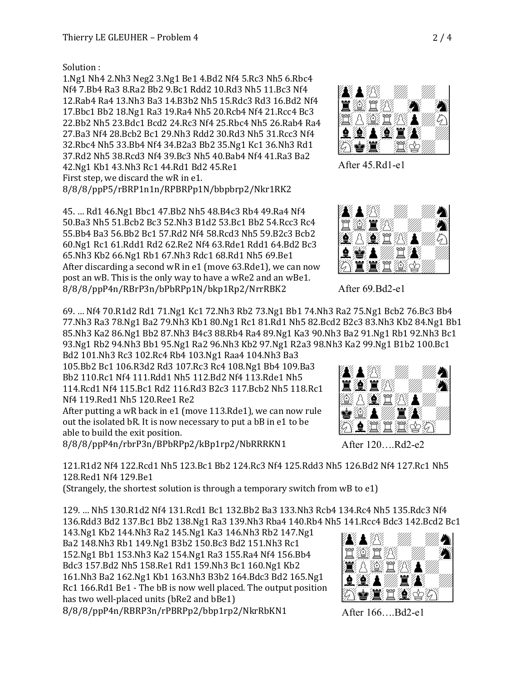Solution :

1.Ng1 Nh4 2.Nh3 Neg2 3.Ng1 Be1 4.Bd2 Nf4 5.Rc3 Nh5 6.Rbc4 Nf4 7.Bb4 Ra3 8.Ra2 Bb2 9.Bc1 Rdd2 10.Rd3 Nh5 11.Bc3 Nf4 12.Rab4 Ra4 13.Nh3 Ba3 14.B3b2 Nh5 15.Rdc3 Rd3 16.Bd2 Nf4 17.Bbc1 Bb2 18.Ng1 Ra3 19.Ra4 Nh5 20.Rcb4 Nf4 21.Rcc4 Bc3 22.Bb2 Nh5 23.Bdc1 Bcd2 24.Rc3 Nf4 25.Rbc4 Nh5 26.Rab4 Ra4 27.Ba3 Nf4 28.Bcb2 Bc1 29.Nh3 Rdd2 30.Rd3 Nh5 31.Rcc3 Nf4 32.Rbc4 Nh5 33.Bb4 Nf4 34.B2a3 Bb2 35.Ng1 Kc1 36.Nh3 Rd1 37.Rd2 Nh5 38.Rcd3 Nf4 39.Bc3 Nh5 40.Bab4 Nf4 41.Ra3 Ba2 42.Ng1 Kb1 43.Nh3 Rc1 44.Rd1 Bd2 45.Re1 First step, we discard the wR in e1. 8/8/8/ppP5/rBRP1n1n/RPBRPp1N/bbpbrp2/Nkr1RK2

45. ... Rd1 46. Ng1 Bbc1 47. Bb2 Nh5 48. B4c3 Rb4 49. Ra4 Nf4 50.Ba3 Nh5 51.Bcb2 Bc3 52.Nh3 B1d2 53.Bc1 Bb2 54.Rcc3 Rc4 55.Bb4 Ba3 56.Bb2 Bc1 57.Rd2 Nf4 58.Rcd3 Nh5 59.B2c3 Bcb2 60.Ng1 Rc1 61.Rdd1 Rd2 62.Re2 Nf4 63.Rde1 Rdd1 64.Bd2 Bc3 65.Nh3 Kb2 66.Ng1 Rb1 67.Nh3 Rdc1 68.Rd1 Nh5 69.Be1 After discarding a second wR in e1 (move 63.Rde1), we can now post an wB. This is the only way to have a wRe2 and an wBe1. 8/8/8/ppP4n/RBrP3n/bPbRPp1N/bkp1Rp2/NrrRBK2

69. ... Nf4 70.R1d2 Rd1 71.Ng1 Kc1 72.Nh3 Rb2 73.Ng1 Bb1 74.Nh3 Ra2 75.Ng1 Bcb2 76.Bc3 Bb4 77.Nh3 Ra3 78.Ng1 Ba2 79.Nh3 Kb1 80.Ng1 Rc1 81.Rd1 Nh5 82.Bcd2 B2c3 83.Nh3 Kb2 84.Ng1 Bb1 85.Nh3 Ka2 86.Ng1 Bb2 87.Nh3 B4c3 88.Rb4 Ra4 89.Ng1 Ka3 90.Nh3 Ba2 91.Ng1 Rb1 92.Nh3 Bc1 93.Ng1 Rb2 94.Nh3 Bb1 95.Ng1 Ra2 96.Nh3 Kb2 97.Ng1 R2a3 98.Nh3 Ka2 99.Ng1 B1b2 100.Bc1 

Bd2 101.Nh3 Rc3 102.Rc4 Rb4 103.Ng1 Raa4 104.Nh3 Ba3 105.Bb2 Bc1 106.R3d2 Rd3 107.Rc3 Rc4 108.Ng1 Bb4 109.Ba3 Bb2 110.Rc1 Nf4 111.Rdd1 Nh5 112.Bd2 Nf4 113.Rde1 Nh5 114.Rcd1 Nf4 115.Bc1 Rd2 116.Rd3 B2c3 117.Bcb2 Nh5 118.Rc1 Nf4 119.Red1 Nh5 120.Ree1 Re2

After putting a wR back in e1 (move 113.Rde1), we can now rule out the isolated bR. It is now necessary to put a bB in e1 to be able to build the exit position.

8/8/8/ppP4n/rbrP3n/BPbRPp2/kBp1rp2/NbRRRKN1

121.R1d2 Nf4 122.Rcd1 Nh5 123.Bc1 Bb2 124.Rc3 Nf4 125.Rdd3 Nh5 126.Bd2 Nf4 127.Rc1 Nh5 128.Red1 Nf4 129.Be1

(Strangely, the shortest solution is through a temporary switch from wB to e1)

129. … Nh5 130.R1d2 Nf4 131.Rcd1 Bc1 132.Bb2 Ba3 133.Nh3 Rcb4 134.Rc4 Nh5 135.Rdc3 Nf4 136.Rdd3 Bd2 137.Bc1 Bb2 138.Ng1 Ra3 139.Nh3 Rba4 140.Rb4 Nh5 141.Rcc4 Bdc3 142.Bcd2 Bc1 

143.Ng1 Kb2 144.Nh3 Ra2 145.Ng1 Ka3 146.Nh3 Rb2 147.Ng1 Ba2 148.Nh3 Rb1 149.Ng1 B3b2 150.Bc3 Bd2 151.Nh3 Rc1 152.Ng1 Bb1 153.Nh3 Ka2 154.Ng1 Ra3 155.Ra4 Nf4 156.Bb4 Bdc3 157.Bd2 Nh5 158.Re1 Rd1 159.Nh3 Bc1 160.Ng1 Kb2 161.Nh3 Ba2 162.Ng1 Kb1 163.Nh3 B3b2 164.Bdc3 Bd2 165.Ng1 Rc1 166.Rd1 Be1 - The bB is now well placed. The output position has two well-placed units (bRe2 and bBe1) 8/8/8/ppP4n/RBRP3n/rPBRPp2/bbp1rp2/NkrRbKN1

After 166....Bd2-e1

After 120....Rd2-e2

After 69.Bd2-e1









!"#\$\$"#%&'&'9! !(+,-("#%&'&239! !)\*.%+,-("#%\$'&!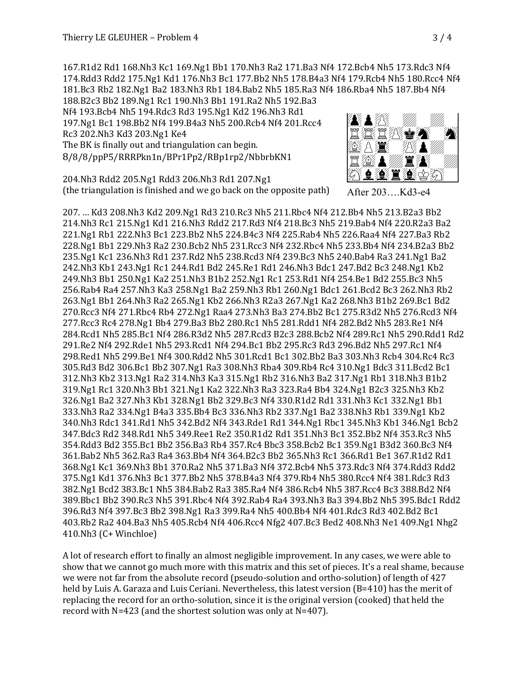167.R1d2 Rd1 168.Nh3 Kc1 169.Ng1 Bb1 170.Nh3 Ra2 171.Ba3 Nf4 172.Bcb4 Nh5 173.Rdc3 Nf4 174.Rdd3 Rdd2 175.Ng1 Kd1 176.Nh3 Bc1 177.Bb2 Nh5 178.B4a3 Nf4 179.Rcb4 Nh5 180.Rcc4 Nf4 181.Bc3 Rb2 182.Ng1 Ba2 183.Nh3 Rb1 184.Bab2 Nh5 185.Ra3 Nf4 186.Rba4 Nh5 187.Bb4 Nf4

188.B2c3 Bb2 189.Ng1 Rc1 190.Nh3 Bb1 191.Ra2 Nh5 192.Ba3 Nf4 193.Bcb4 Nh5 194.Rdc3 Rd3 195.Ng1 Kd2 196.Nh3 Rd1 197.Ng1 Bc1 198.Bb2 Nf4 199.B4a3 Nh5 200.Rcb4 Nf4 201.Rcc4 Rc3 202.Nh3 Kd3 203.Ng1 Ke4 The BK is finally out and triangulation can begin. 8/8/8/ppP5/RRRPkn1n/BPr1Pp2/RBp1rp2/NbbrbKN1



204.Nh3 Rdd2 205.Ng1 Rdd3 206.Nh3 Rd1 207.Ng1 (the triangulation is finished and we go back on the opposite path)

207. … Kd3 208.Nh3 Kd2 209.Ng1 Rd3 210.Rc3 Nh5 211.Rbc4 Nf4 212.Bb4 Nh5 213.B2a3 Bb2 214.Nh3 Rc1 215.Ng1 Kd1 216.Nh3 Rdd2 217.Rd3 Nf4 218.Bc3 Nh5 219.Bab4 Nf4 220.R2a3 Ba2 221.Ng1 Rb1 222.Nh3 Bc1 223.Bb2 Nh5 224.B4c3 Nf4 225.Rab4 Nh5 226.Raa4 Nf4 227.Ba3 Rb2 228.Ng1 Bb1 229.Nh3 Ra2 230.Bcb2 Nh5 231.Rcc3 Nf4 232.Rbc4 Nh5 233.Bb4 Nf4 234.B2a3 Bb2 235.Ng1 Kc1 236.Nh3 Rd1 237.Rd2 Nh5 238.Rcd3 Nf4 239.Bc3 Nh5 240.Bab4 Ra3 241.Ng1 Ba2 242.Nh3 Kb1 243.Ng1 Rc1 244.Rd1 Bd2 245.Re1 Rd1 246.Nh3 Bdc1 247.Bd2 Bc3 248.Ng1 Kb2 249.Nh3 Bb1 250.Ng1 Ka2 251.Nh3 B1b2 252.Ng1 Rc1 253.Rd1 Nf4 254.Be1 Bd2 255.Bc3 Nh5 256.Rab4 Ra4 257.Nh3 Ka3 258.Ng1 Ba2 259.Nh3 Rb1 260.Ng1 Bdc1 261.Bcd2 Bc3 262.Nh3 Rb2 263.Ng1 Bb1 264.Nh3 Ra2 265.Ng1 Kb2 266.Nh3 R2a3 267.Ng1 Ka2 268.Nh3 B1b2 269.Bc1 Bd2 270.Rcc3 Nf4 271.Rbc4 Rb4 272.Ng1 Raa4 273.Nh3 Ba3 274.Bb2 Bc1 275.R3d2 Nh5 276.Rcd3 Nf4 277.Rcc3 Rc4 278.Ng1 Bb4 279.Ba3 Bb2 280.Rc1 Nh5 281.Rdd1 Nf4 282.Bd2 Nh5 283.Re1 Nf4 284.Rcd1 Nh5 285.Bc1 Nf4 286.R3d2 Nh5 287.Rcd3 B2c3 288.Bcb2 Nf4 289.Rc1 Nh5 290.Rdd1 Rd2 291.Re2 Nf4 292.Rde1 Nh5 293.Rcd1 Nf4 294.Bc1 Bb2 295.Rc3 Rd3 296.Bd2 Nh5 297.Rc1 Nf4 298.Red1 Nh5 299.Be1 Nf4 300.Rdd2 Nh5 301.Rcd1 Bc1 302.Bb2 Ba3 303.Nh3 Rcb4 304.Rc4 Rc3 305.Rd3 Bd2 306.Bc1 Bb2 307.Ng1 Ra3 308.Nh3 Rba4 309.Rb4 Rc4 310.Ng1 Bdc3 311.Bcd2 Bc1 312.Nh3 Kb2 313.Ng1 Ra2 314.Nh3 Ka3 315.Ng1 Rb2 316.Nh3 Ba2 317.Ng1 Rb1 318.Nh3 B1b2 319.Ng1 Rc1 320.Nh3 Bb1 321.Ng1 Ka2 322.Nh3 Ra3 323.Ra4 Bb4 324.Ng1 B2c3 325.Nh3 Kb2 326.Ng1 Ba2 327.Nh3 Kb1 328.Ng1 Bb2 329.Bc3 Nf4 330.R1d2 Rd1 331.Nh3 Kc1 332.Ng1 Bb1 333.Nh3 Ra2 334.Ng1 B4a3 335.Bb4 Bc3 336.Nh3 Rb2 337.Ng1 Ba2 338.Nh3 Rb1 339.Ng1 Kb2 340.Nh3 Rdc1 341.Rd1 Nh5 342.Bd2 Nf4 343.Rde1 Rd1 344.Ng1 Rbc1 345.Nh3 Kb1 346.Ng1 Bcb2 347.Bdc3 Rd2 348.Rd1 Nh5 349.Ree1 Re2 350.R1d2 Rd1 351.Nh3 Bc1 352.Bb2 Nf4 353.Rc3 Nh5 354.Rdd3 Bd2 355.Bc1 Bb2 356.Ba3 Rb4 357.Rc4 Bbc3 358.Bcb2 Bc1 359.Ng1 B3d2 360.Bc3 Nf4 361.Bab2 Nh5 362.Ra3 Ra4 363.Bb4 Nf4 364.B2c3 Bb2 365.Nh3 Rc1 366.Rd1 Be1 367.R1d2 Rd1 368.Ng1 Kc1 369.Nh3 Bb1 370.Ra2 Nh5 371.Ba3 Nf4 372.Bcb4 Nh5 373.Rdc3 Nf4 374.Rdd3 Rdd2 375.Ng1 Kd1 376.Nh3 Bc1 377.Bb2 Nh5 378.B4a3 Nf4 379.Rb4 Nh5 380.Rcc4 Nf4 381.Rdc3 Rd3 382.Ng1 Bcd2 383.Bc1 Nh5 384.Bab2 Ra3 385.Ra4 Nf4 386.Rcb4 Nh5 387.Rcc4 Bc3 388.Bd2 Nf4 389.Bbc1 Bb2 390.Rc3 Nh5 391.Rbc4 Nf4 392.Rab4 Ra4 393.Nh3 Ba3 394.Bb2 Nh5 395.Bdc1 Rdd2 396.Rd3 Nf4 397.Bc3 Bb2 398.Ng1 Ra3 399.Ra4 Nh5 400.Bb4 Nf4 401.Rdc3 Rd3 402.Bd2 Bc1 403.Rb2 Ra2 404.Ba3 Nh5 405.Rcb4 Nf4 406.Rcc4 Nfg2 407.Bc3 Bed2 408.Nh3 Ne1 409.Ng1 Nhg2 410.Nh3 (C+ Winchloe)

A lot of research effort to finally an almost negligible improvement. In any cases, we were able to show that we cannot go much more with this matrix and this set of pieces. It's a real shame, because we were not far from the absolute record (pseudo-solution and ortho-solution) of length of 427 held by Luis A. Garaza and Luis Ceriani. Nevertheless, this latest version (B=410) has the merit of replacing the record for an ortho-solution, since it is the original version (cooked) that held the record with  $N=423$  (and the shortest solution was only at  $N=407$ ).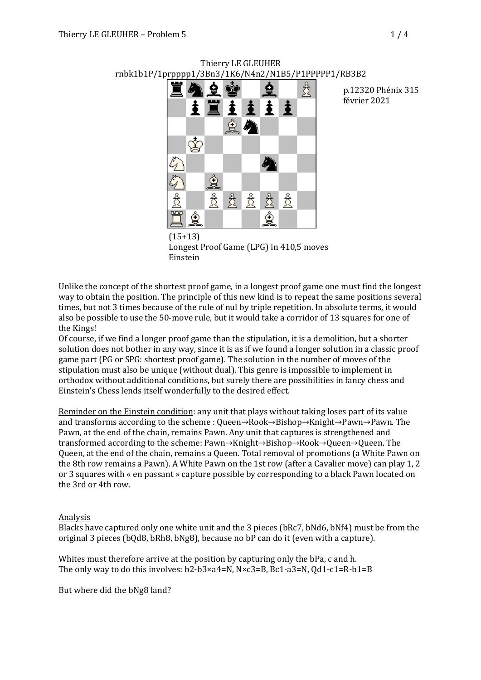# rnbk1b1P/1prpppp1/3Bn3/1K6/N4n2/N1B5/P1PPPPP1/RB3B2 贪 Ċ ✿  $\mathbb{Z}^2$  $\hat{\mathbf{P}}$  $\overline{\mathcal{E}}$ € ষ্ঠ € € ₹ ⇪

Thierry LE GLEUHER

p.12320 Phénix 315 février 2021

(15+13) Longest Proof Game (LPG) in 410,5 moves Einstein

Unlike the concept of the shortest proof game, in a longest proof game one must find the longest way to obtain the position. The principle of this new kind is to repeat the same positions several times, but not 3 times because of the rule of nul by triple repetition. In absolute terms, it would also be possible to use the 50-move rule, but it would take a corridor of 13 squares for one of the Kings!

Of course, if we find a longer proof game than the stipulation, it is a demolition, but a shorter solution does not bother in any way, since it is as if we found a longer solution in a classic proof game part (PG or SPG: shortest proof game). The solution in the number of moves of the stipulation must also be unique (without dual). This genre is impossible to implement in orthodox without additional conditions, but surely there are possibilities in fancy chess and Einstein's Chess lends itself wonderfully to the desired effect.

Reminder on the Einstein condition: any unit that plays without taking loses part of its value and transforms according to the scheme : Queen→Rook→Bishop→Knight→Pawn→Pawn. The Pawn, at the end of the chain, remains Pawn. Any unit that captures is strengthened and transformed according to the scheme: Pawn→Knight→Bishop→Rook→Queen→Queen. The Queen, at the end of the chain, remains a Queen. Total removal of promotions (a White Pawn on the 8th row remains a Pawn). A White Pawn on the 1st row (after a Cavalier move) can play 1, 2 or 3 squares with « en passant » capture possible by corresponding to a black Pawn located on the 3rd or 4th row.

#### Analysis

Blacks have captured only one white unit and the 3 pieces (bRc7, bNd6, bNf4) must be from the original 3 pieces ( $bQd8$ ,  $bRh8$ ,  $bNg8$ ), because no  $bP$  can do it (even with a capture).

Whites must therefore arrive at the position by capturing only the bPa, c and h. The only way to do this involves:  $b2-b3\times a4=N$ ,  $N\times c3=B$ ,  $Bc1-a3=N$ ,  $Qd1-c1=R-b1=B$ 

But where did the bNg8 land?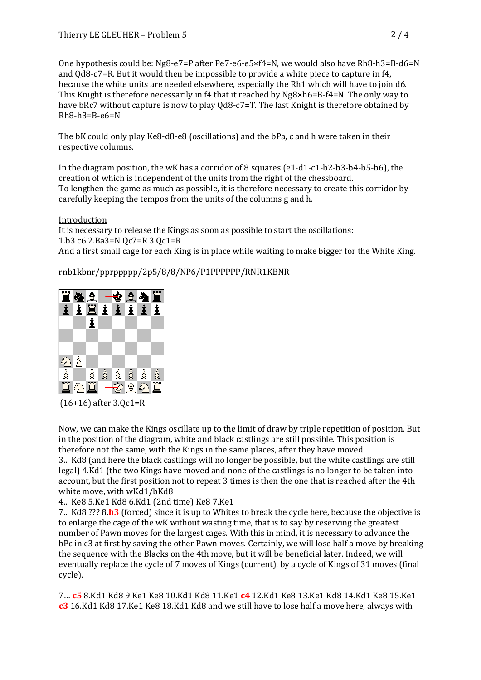One hypothesis could be:  $Ng8-e7=P$  after  $Pe7-e6-e5\times f4=N$ , we would also have  $Rh8-h3=B-d6=N$ and  $Qd8-c7=R$ . But it would then be impossible to provide a white piece to capture in  $f4$ , because the white units are needed elsewhere, especially the Rh1 which will have to join d6. This Knight is therefore necessarily in  $f4$  that it reached by  $Ng8\times h6=$ B-f4=N. The only way to have bRc7 without capture is now to play Qd8-c7=T. The last Knight is therefore obtained by Rh8-h3=B-e6=N.

The bK could only play Ke8-d8-e8 (oscillations) and the bPa, c and h were taken in their respective columns.

In the diagram position, the wK has a corridor of 8 squares (e1-d1-c1-b2-b3-b4-b5-b6), the creation of which is independent of the units from the right of the chessboard. To lengthen the game as much as possible, it is therefore necessary to create this corridor by carefully keeping the tempos from the units of the columns g and h.

## Introduction

It is necessary to release the Kings as soon as possible to start the oscillations: 1.b3 c6 2.Ba3=N Qc7=R 3.Qc1=R And a first small cage for each King is in place while waiting to make bigger for the White King.

## rnb1kbnr/pprppppp/2p5/8/8/NP6/P1PPPPPP/RNR1KBNR



(16+16) after 3.Qc1=R

Now, we can make the Kings oscillate up to the limit of draw by triple repetition of position. But in the position of the diagram, white and black castlings are still possible. This position is therefore not the same, with the Kings in the same places, after they have moved. 3... Kd8 (and here the black castlings will no longer be possible, but the white castlings are still legal) 4.Kd1 (the two Kings have moved and none of the castlings is no longer to be taken into account, but the first position not to repeat 3 times is then the one that is reached after the 4th white move, with wKd1/bKd8

## 4... Ke8 5.Ke1 Kd8 6.Kd1 (2nd time) Ke8 7.Ke1

7... Kd8 ??? 8.h3 (forced) since it is up to Whites to break the cycle here, because the objective is to enlarge the cage of the wK without wasting time, that is to say by reserving the greatest number of Pawn moves for the largest cages. With this in mind, it is necessary to advance the bPc in c3 at first by saving the other Pawn moves. Certainly, we will lose half a move by breaking the sequence with the Blacks on the 4th move, but it will be beneficial later. Indeed, we will eventually replace the cycle of 7 moves of Kings (current), by a cycle of Kings of 31 moves (final cycle).

7… **c5** 8.Kd1 Kd8 9.Ke1 Ke8 10.Kd1 Kd8 11.Ke1 **c4** 12.Kd1 Ke8 13.Ke1 Kd8 14.Kd1 Ke8 15.Ke1 **c3** 16.Kd1 Kd8 17.Ke1 Ke8 18.Kd1 Kd8 and we still have to lose half a move here, always with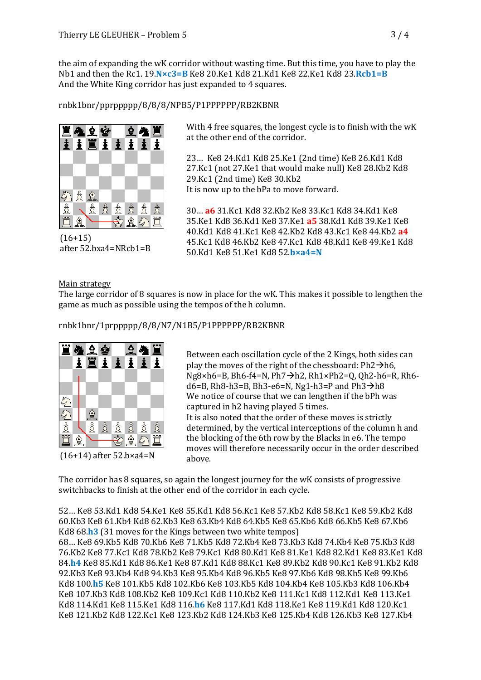the aim of expanding the wK corridor without wasting time. But this time, you have to play the Nb1 and then the Rc1. 19.N×c3=B Ke8 20.Ke1 Kd8 21.Kd1 Ke8 22.Ke1 Kd8 23.Rcb1=B And the White King corridor has just expanded to 4 squares.

## rnbk1bnr/pprppppp/8/8/8/NPB5/P1PPPPPP/RB2KBNR



(16+15) after 52.bxa4=NRcb1=B

With 4 free squares, the longest cycle is to finish with the wK at the other end of the corridor.

23... Ke8 24.Kd1 Kd8 25.Ke1 (2nd time) Ke8 26.Kd1 Kd8 27.Kc1 (not 27.Ke1 that would make null) Ke8 28.Kb2 Kd8 29.Kc1 (2nd time) Ke8 30.Kb2 It is now up to the bPa to move forward.

30… **a6** 31.Kc1 Kd8 32.Kb2 Ke8 33.Kc1 Kd8 34.Kd1 Ke8 35.Ke1 Kd8 36.Kd1 Ke8 37.Ke1 **a5** 38.Kd1 Kd8 39.Ke1 Ke8 40.Kd1 Kd8 41.Kc1 Ke8 42.Kb2 Kd8 43.Kc1 Ke8 44.Kb2 **a4** 45.Kc1 Kd8 46.Kb2 Ke8 47.Kc1 Kd8 48.Kd1 Ke8 49.Ke1 Kd8 50.Kd1 Ke8 51.Ke1 Kd8 52.**b×a4=N**

## Main strategy

The large corridor of 8 squares is now in place for the wK. This makes it possible to lengthen the game as much as possible using the tempos of the h column.

rnbk1bnr/1prppppp/8/8/N7/N1B5/P1PPPPPP/RB2KBNR



Between each oscillation cycle of the 2 Kings, both sides can play the moves of the right of the chessboard:  $Ph2\rightarrow hh6$ ,  $Ng8\times h6=$ B, Bh6-f4=N, Ph7 $\rightarrow$ h2, Rh1×Ph2=Q, Qh2-h6=R, Rh6d6=B, Rh8-h3=B, Bh3-e6=N, Ng1-h3=P and  $Ph3\rightarrow h8$ We notice of course that we can lengthen if the bPh was captured in h2 having played 5 times. It is also noted that the order of these moves is strictly determined, by the vertical interceptions of the column h and the blocking of the 6th row by the Blacks in e6. The tempo moves will therefore necessarily occur in the order described above.

The corridor has 8 squares, so again the longest journey for the wK consists of progressive switchbacks to finish at the other end of the corridor in each cycle.

52… Ke8 53.Kd1 Kd8 54.Ke1 Ke8 55.Kd1 Kd8 56.Kc1 Ke8 57.Kb2 Kd8 58.Kc1 Ke8 59.Kb2 Kd8 60.Kb3 Ke8 61.Kb4 Kd8 62.Kb3 Ke8 63.Kb4 Kd8 64.Kb5 Ke8 65.Kb6 Kd8 66.Kb5 Ke8 67.Kb6 Kd8 68.h3 (31 moves for the Kings between two white tempos) 68… Ke8 69.Kb5 Kd8 70.Kb6 Ke8 71.Kb5 Kd8 72.Kb4 Ke8 73.Kb3 Kd8 74.Kb4 Ke8 75.Kb3 Kd8 76.Kb2 Ke8 77.Kc1 Kd8 78.Kb2 Ke8 79.Kc1 Kd8 80.Kd1 Ke8 81.Ke1 Kd8 82.Kd1 Ke8 83.Ke1 Kd8 84.h4 Ke8 85.Kd1 Kd8 86.Ke1 Ke8 87.Kd1 Kd8 88.Kc1 Ke8 89.Kb2 Kd8 90.Kc1 Ke8 91.Kb2 Kd8 92.Kb3 Ke8 93.Kb4 Kd8 94.Kb3 Ke8 95.Kb4 Kd8 96.Kb5 Ke8 97.Kb6 Kd8 98.Kb5 Ke8 99.Kb6 Kd8 100.h5 Ke8 101.Kb5 Kd8 102.Kb6 Ke8 103.Kb5 Kd8 104.Kb4 Ke8 105.Kb3 Kd8 106.Kb4 Ke8 107.Kb3 Kd8 108.Kb2 Ke8 109.Kc1 Kd8 110.Kb2 Ke8 111.Kc1 Kd8 112.Kd1 Ke8 113.Ke1 Kd8 114.Kd1 Ke8 115.Ke1 Kd8 116.h6 Ke8 117.Kd1 Kd8 118.Ke1 Ke8 119.Kd1 Kd8 120.Kc1

Ke8 121.Kb2 Kd8 122.Kc1 Ke8 123.Kb2 Kd8 124.Kb3 Ke8 125.Kb4 Kd8 126.Kb3 Ke8 127.Kb4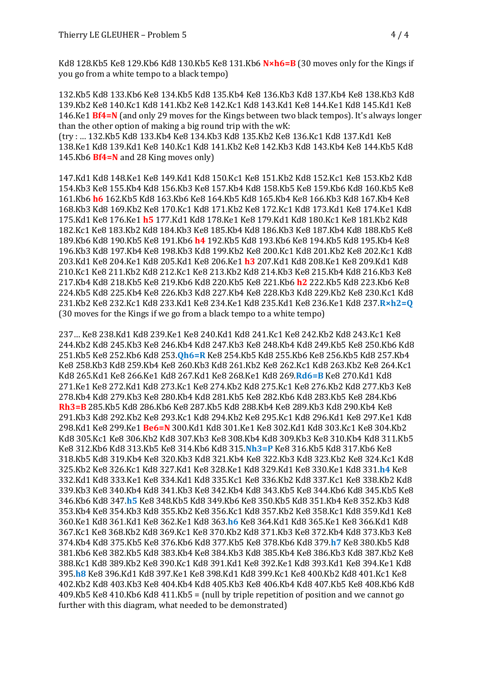Kd8 128.Kb5 Ke8 129.Kb6 Kd8 130.Kb5 Ke8 131.Kb6 **N×h6=B** (30 moves only for the Kings if you go from a white tempo to a black tempo)

132.Kb5 Kd8 133.Kb6 Ke8 134.Kb5 Kd8 135.Kb4 Ke8 136.Kb3 Kd8 137.Kb4 Ke8 138.Kb3 Kd8 139.Kb2 Ke8 140.Kc1 Kd8 141.Kb2 Ke8 142.Kc1 Kd8 143.Kd1 Ke8 144.Ke1 Kd8 145.Kd1 Ke8 146.Ke1 **Bf4=N** (and only 29 moves for the Kings between two black tempos). It's always longer than the other option of making a big round trip with the  $wK$ :

(try : … 132.Kb5 Kd8 133.Kb4 Ke8 134.Kb3 Kd8 135.Kb2 Ke8 136.Kc1 Kd8 137.Kd1 Ke8 138.Ke1 Kd8 139.Kd1 Ke8 140.Kc1 Kd8 141.Kb2 Ke8 142.Kb3 Kd8 143.Kb4 Ke8 144.Kb5 Kd8 145.Kb6 **Bf4=N** and 28 King moves only)

147.Kd1 Kd8 148.Ke1 Ke8 149.Kd1 Kd8 150.Kc1 Ke8 151.Kb2 Kd8 152.Kc1 Ke8 153.Kb2 Kd8 154.Kb3 Ke8 155.Kb4 Kd8 156.Kb3 Ke8 157.Kb4 Kd8 158.Kb5 Ke8 159.Kb6 Kd8 160.Kb5 Ke8 161.Kb6 h6 162.Kb5 Kd8 163.Kb6 Ke8 164.Kb5 Kd8 165.Kb4 Ke8 166.Kb3 Kd8 167.Kb4 Ke8 168.Kb3 Kd8 169.Kb2 Ke8 170.Kc1 Kd8 171.Kb2 Ke8 172.Kc1 Kd8 173.Kd1 Ke8 174.Ke1 Kd8 175.Kd1 Ke8 176.Ke1 **h5** 177.Kd1 Kd8 178.Ke1 Ke8 179.Kd1 Kd8 180.Kc1 Ke8 181.Kb2 Kd8 182.Kc1 Ke8 183.Kb2 Kd8 184.Kb3 Ke8 185.Kb4 Kd8 186.Kb3 Ke8 187.Kb4 Kd8 188.Kb5 Ke8 189.Kb6 Kd8 190.Kb5 Ke8 191.Kb6 **h4** 192.Kb5 Kd8 193.Kb6 Ke8 194.Kb5 Kd8 195.Kb4 Ke8 196.Kb3 Kd8 197.Kb4 Ke8 198.Kb3 Kd8 199.Kb2 Ke8 200.Kc1 Kd8 201.Kb2 Ke8 202.Kc1 Kd8 203.Kd1 Ke8 204.Ke1 Kd8 205.Kd1 Ke8 206.Ke1 **h3** 207.Kd1 Kd8 208.Ke1 Ke8 209.Kd1 Kd8 210.Kc1 Ke8 211.Kb2 Kd8 212.Kc1 Ke8 213.Kb2 Kd8 214.Kb3 Ke8 215.Kb4 Kd8 216.Kb3 Ke8 217.Kb4 Kd8 218.Kb5 Ke8 219.Kb6 Kd8 220.Kb5 Ke8 221.Kb6 **h2** 222.Kb5 Kd8 223.Kb6 Ke8 224.Kb5 Kd8 225.Kb4 Ke8 226.Kb3 Kd8 227.Kb4 Ke8 228.Kb3 Kd8 229.Kb2 Ke8 230.Kc1 Kd8 231.Kb2 Ke8 232.Kc1 Kd8 233.Kd1 Ke8 234.Ke1 Kd8 235.Kd1 Ke8 236.Ke1 Kd8 237.**R×h2=Q** (30 moves for the Kings if we go from a black tempo to a white tempo)

237… Ke8 238.Kd1 Kd8 239.Ke1 Ke8 240.Kd1 Kd8 241.Kc1 Ke8 242.Kb2 Kd8 243.Kc1 Ke8 244.Kb2 Kd8 245.Kb3 Ke8 246.Kb4 Kd8 247.Kb3 Ke8 248.Kb4 Kd8 249.Kb5 Ke8 250.Kb6 Kd8 251.Kb5 Ke8 252.Kb6 Kd8 253.**Qh6=R** Ke8 254.Kb5 Kd8 255.Kb6 Ke8 256.Kb5 Kd8 257.Kb4 Ke8 258.Kb3 Kd8 259.Kb4 Ke8 260.Kb3 Kd8 261.Kb2 Ke8 262.Kc1 Kd8 263.Kb2 Ke8 264.Kc1 Kd8 265.Kd1 Ke8 266.Ke1 Kd8 267.Kd1 Ke8 268.Ke1 Kd8 269.Rd6=B Ke8 270.Kd1 Kd8 271.Ke1 Ke8 272.Kd1 Kd8 273.Kc1 Ke8 274.Kb2 Kd8 275.Kc1 Ke8 276.Kb2 Kd8 277.Kb3 Ke8 278.Kb4 Kd8 279.Kb3 Ke8 280.Kb4 Kd8 281.Kb5 Ke8 282.Kb6 Kd8 283.Kb5 Ke8 284.Kb6 **Rh3=B** 285.Kb5 Kd8 286.Kb6 Ke8 287.Kb5 Kd8 288.Kb4 Ke8 289.Kb3 Kd8 290.Kb4 Ke8 291.Kb3 Kd8 292.Kb2 Ke8 293.Kc1 Kd8 294.Kb2 Ke8 295.Kc1 Kd8 296.Kd1 Ke8 297.Ke1 Kd8 298.Kd1 Ke8 299.Ke1 **Be6=N** 300.Kd1 Kd8 301.Ke1 Ke8 302.Kd1 Kd8 303.Kc1 Ke8 304.Kb2 Kd8 305.Kc1 Ke8 306.Kb2 Kd8 307.Kb3 Ke8 308.Kb4 Kd8 309.Kb3 Ke8 310.Kb4 Kd8 311.Kb5 Ke8 312.Kb6 Kd8 313.Kb5 Ke8 314.Kb6 Kd8 315.**Nh3=P** Ke8 316.Kb5 Kd8 317.Kb6 Ke8 318.Kb5 Kd8 319.Kb4 Ke8 320.Kb3 Kd8 321.Kb4 Ke8 322.Kb3 Kd8 323.Kb2 Ke8 324.Kc1 Kd8 325.Kb2 Ke8 326.Kc1 Kd8 327.Kd1 Ke8 328.Ke1 Kd8 329.Kd1 Ke8 330.Ke1 Kd8 331.**h4** Ke8 332.Kd1 Kd8 333.Ke1 Ke8 334.Kd1 Kd8 335.Kc1 Ke8 336.Kb2 Kd8 337.Kc1 Ke8 338.Kb2 Kd8 339.Kb3 Ke8 340.Kb4 Kd8 341.Kb3 Ke8 342.Kb4 Kd8 343.Kb5 Ke8 344.Kb6 Kd8 345.Kb5 Ke8 346.Kb6 Kd8 347.**h5** Ke8 348.Kb5 Kd8 349.Kb6 Ke8 350.Kb5 Kd8 351.Kb4 Ke8 352.Kb3 Kd8 353.Kb4 Ke8 354.Kb3 Kd8 355.Kb2 Ke8 356.Kc1 Kd8 357.Kb2 Ke8 358.Kc1 Kd8 359.Kd1 Ke8 360.Ke1 Kd8 361.Kd1 Ke8 362.Ke1 Kd8 363.**h6** Ke8 364.Kd1 Kd8 365.Ke1 Ke8 366.Kd1 Kd8 367.Kc1 Ke8 368.Kb2 Kd8 369.Kc1 Ke8 370.Kb2 Kd8 371.Kb3 Ke8 372.Kb4 Kd8 373.Kb3 Ke8 374.Kb4 Kd8 375.Kb5 Ke8 376.Kb6 Kd8 377.Kb5 Ke8 378.Kb6 Kd8 379.**h7** Ke8 380.Kb5 Kd8 381.Kb6 Ke8 382.Kb5 Kd8 383.Kb4 Ke8 384.Kb3 Kd8 385.Kb4 Ke8 386.Kb3 Kd8 387.Kb2 Ke8 388.Kc1 Kd8 389.Kb2 Ke8 390.Kc1 Kd8 391.Kd1 Ke8 392.Ke1 Kd8 393.Kd1 Ke8 394.Ke1 Kd8 395.**h8** Ke8 396.Kd1 Kd8 397.Ke1 Ke8 398.Kd1 Kd8 399.Kc1 Ke8 400.Kb2 Kd8 401.Kc1 Ke8 402.Kb2 Kd8 403.Kb3 Ke8 404.Kb4 Kd8 405.Kb3 Ke8 406.Kb4 Kd8 407.Kb5 Ke8 408.Kb6 Kd8  $409.$ Kb5 Ke8 410.Kb6 Kd8 411.Kb5 = (null by triple repetition of position and we cannot go further with this diagram, what needed to be demonstrated)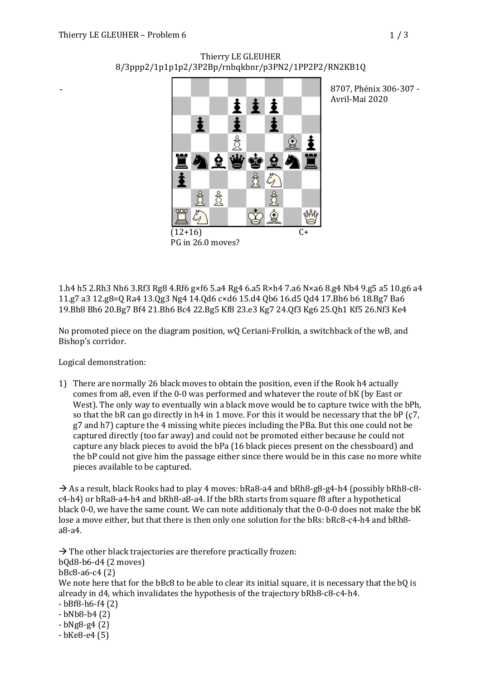-

# ŧ  $\frac{1}{2}$  $\mathbf{\dot{}}$ € ₽ 住 ₫ ☆ SN 6

Thierry LE GLEUHER 8/3ppp2/1p1p1p2/3P2Bp/rnbqkbnr/p3PN2/1PP2P2/RN2KB1Q

> 8707. Phénix 306-307 -Avril-Mai 2020

1.h4 h5 2.Rh3 Nh6 3.Rf3 Rg8 4.Rf6 g×f6 5.a4 Rg4 6.a5 R×h4 7.a6 N×a6 8.g4 Nb4 9.g5 a5 10.g6 a4 11.g7 a3 12.g8=Q Ra4 13.Qg3 Ng4 14.Qd6 c×d6 15.d4 Qb6 16.d5 Qd4 17.Bh6 b6 18.Bg7 Ba6 19.Bh8 Bh6 20.Bg7 Bf4 21.Bh6 Bc4 22.Bg5 Kf8 23.e3 Kg7 24.Qf3 Kg6 25.Qh1 Kf5 26.Nf3 Ke4

 $(12+16)$ 

PG in 26.0 moves?

No promoted piece on the diagram position, wQ Ceriani-Frolkin, a switchback of the wB, and Bishop's corridor.

Logical demonstration:

1) There are normally 26 black moves to obtain the position, even if the Rook h4 actually comes from a8, even if the 0-0 was performed and whatever the route of bK (by East or West). The only way to eventually win a black move would be to capture twice with the bPh, so that the bR can go directly in h4 in 1 move. For this it would be necessary that the bP (c7, g7 and h7) capture the 4 missing white pieces including the PBa. But this one could not be captured directly (too far away) and could not be promoted either because he could not capture any black pieces to avoid the bPa (16 black pieces present on the chessboard) and the bP could not give him the passage either since there would be in this case no more white pieces available to be captured.

 $\rightarrow$  As a result, black Rooks had to play 4 moves: bRa8-a4 and bRh8-g8-g4-h4 (possibly bRh8-c8c4-h4) or bRa8-a4-h4 and bRh8-a8-a4. If the bRh starts from square f8 after a hypothetical black 0-0, we have the same count. We can note additionaly that the 0-0-0 does not make the bK lose a move either, but that there is then only one solution for the bRs: bRc8-c4-h4 and bRh8a8-a4.

 $\rightarrow$  The other black trajectories are therefore practically frozen:  $b0d8-b6-d4$   $(2 \text{ moves})$ bBc8-a6-c4 (2) We note here that for the bBc8 to be able to clear its initial square, it is necessary that the bQ is already in d4, which invalidates the hypothesis of the trajectory bRh8-c8-c4-h4.  $-$  bBf8-h6-f4 $(2)$  $-bNb8-b4(2)$  $-bNg8-g4(2)$ 

 $-b$ Ke $8-e4(5)$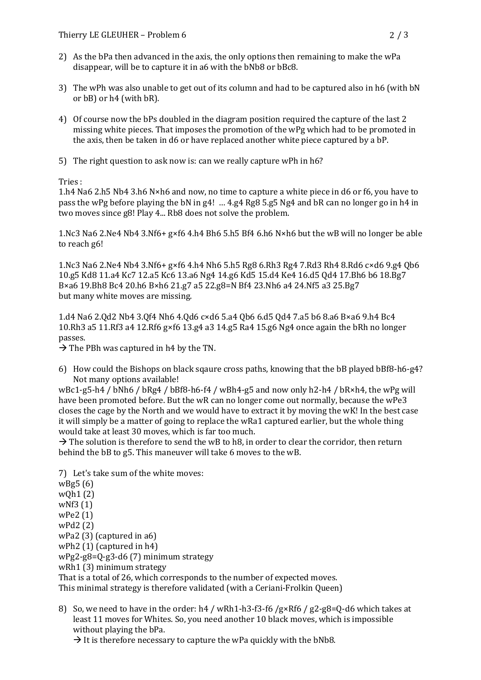- 2) As the bPa then advanced in the axis, the only options then remaining to make the wPa disappear, will be to capture it in a6 with the bNb8 or bBc8.
- 3) The wPh was also unable to get out of its column and had to be captured also in h6 (with bN or bB) or h4 (with bR).
- 4) Of course now the bPs doubled in the diagram position required the capture of the last 2 missing white pieces. That imposes the promotion of the wPg which had to be promoted in the axis, then be taken in d6 or have replaced another white piece captured by a bP.
- 5) The right question to ask now is: can we really capture wPh in  $h6$ ?

Tries : 

1.h4  $Na6$  2.h5  $Nb4$  3.h6  $N \times h6$  and now, no time to capture a white piece in d6 or f6, you have to pass the wPg before playing the bN in g4! ... 4.g4 Rg8 5.g5 Ng4 and bR can no longer go in h4 in two moves since g8! Play 4... Rb8 does not solve the problem.

1.Nc3 Na6 2.Ne4 Nb4 3.Nf6+ g×f6 4.h4 Bh6 5.h5 Bf4 6.h6 N×h6 but the wB will no longer be able to reach g6!

1.Nc3 Na6 2.Ne4 Nb4 3.Nf6+ g×f6 4.h4 Nh6 5.h5 Rg8 6.Rh3 Rg4 7.Rd3 Rh4 8.Rd6 c×d6 9.g4 Qb6 10.g5 Kd8 11.a4 Kc7 12.a5 Kc6 13.a6 Ng4 14.g6 Kd5 15.d4 Ke4 16.d5 Qd4 17.Bh6 b6 18.Bg7 B×a6 19.Bh8 Bc4 20.h6 B×h6 21.g7 a5 22.g8=N Bf4 23.Nh6 a4 24.Nf5 a3 25.Bg7 but many white moves are missing.

1.d4 Na6 2.Qd2 Nb4 3.Qf4 Nh6 4.Qd6 c×d6 5.a4 Qb6 6.d5 Qd4 7.a5 b6 8.a6 B×a6 9.h4 Bc4 10.Rh3 a5 11.Rf3 a4 12.Rf6  $gx$ f6 13.g4 a3 14.g5 Ra4 15.g6 Ng4 once again the bRh no longer passes.

 $\rightarrow$  The PBh was captured in h4 by the TN.

6) How could the Bishops on black sqaure cross paths, knowing that the bB played  $bBf8-h6-g4$ ? Not many options available!

wBc1-g5-h4 / bNh6 / bRg4 / bBf8-h6-f4 / wBh4-g5 and now only h2-h4 / bR×h4, the wPg will have been promoted before. But the wR can no longer come out normally, because the wPe3 closes the cage by the North and we would have to extract it by moving the wK! In the best case it will simply be a matter of going to replace the wRa1 captured earlier, but the whole thing would take at least 30 moves, which is far too much.

 $\rightarrow$  The solution is therefore to send the wB to h8, in order to clear the corridor, then return behind the bB to g5. This maneuver will take 6 moves to the wB.

7) Let's take sum of the white moves:  $wBg5(6)$  $wQh1(2)$  $wNf3(1)$ wPe2 (1) wPd2 (2) wPa2 $(3)$  (captured in a6) wPh2 $(1)$  (captured in h4) wPg2-g8=Q-g3-d6 (7) minimum strategy wRh1 $(3)$  minimum strategy That is a total of 26, which corresponds to the number of expected moves. This minimal strategy is therefore validated (with a Ceriani-Frolkin Queen)

8) So, we need to have in the order:  $h4 / wRh1-h3-f3-f6 /gxRf6 / g2-g8=Q-d6$  which takes at least 11 moves for Whites. So, you need another 10 black moves, which is impossible without playing the bPa.

 $\rightarrow$  It is therefore necessary to capture the wPa quickly with the bNb8.